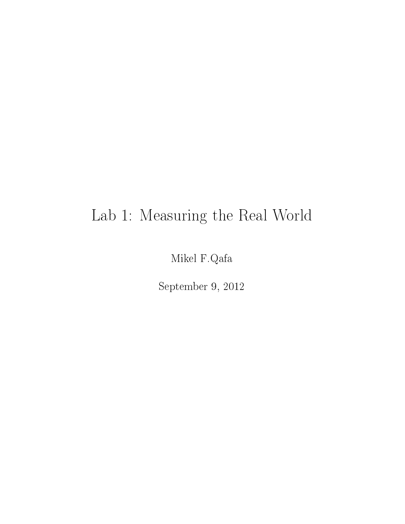# Lab 1: Measuring the Real World

Mikel F.Qafa

September 9, 2012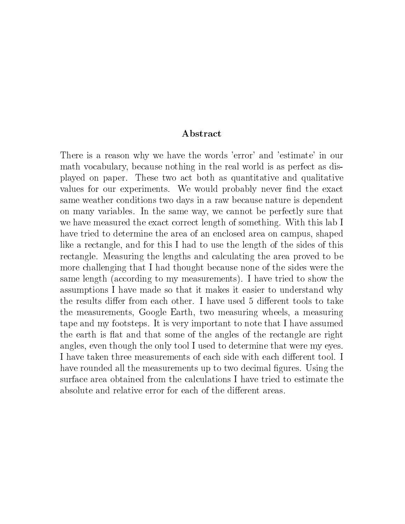#### Abstract

There is a reason why we have the words 'error' and 'estimate' in our math vocabulary, because nothing in the real world is as perfect as displayed on paper. These two act both as quantitative and qualitative values for our experiments. We would probably never find the exact same weather conditions two days in a raw because nature is dependent on many variables. In the same way, we cannot be perfectly sure that we have measured the exact correct length of something. With this lab I have tried to determine the area of an enclosed area on campus, shaped like a rectangle, and for this I had to use the length of the sides of this rectangle. Measuring the lengths and calculating the area proved to be more challenging that I had thought because none of the sides were the same length (according to my measurements). I have tried to show the assumptions I have made so that it makes it easier to understand why the results differ from each other. I have used 5 different tools to take the measurements, Google Earth, two measuring wheels, a measuring tape and my footsteps. It is very important to note that I have assumed the earth is flat and that some of the angles of the rectangle are right angles, even though the only tool I used to determine that were my eyes. I have taken three measurements of each side with each different tool. I have rounded all the measurements up to two decimal figures. Using the surface area obtained from the calculations I have tried to estimate the absolute and relative error for each of the different areas.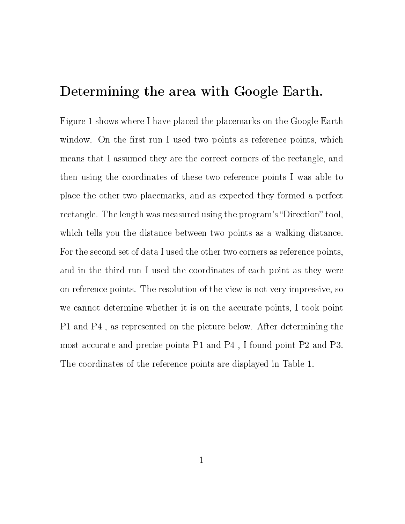### Determining the area with Google Earth.

Figure 1 shows where I have placed the placemarks on the Google Earth window. On the first run I used two points as reference points, which means that I assumed they are the correct corners of the rectangle, and then using the coordinates of these two reference points I was able to place the other two placemarks, and as expected they formed a perfect rectangle. The length was measured using the program's "Direction" tool, which tells you the distance between two points as a walking distance. For the second set of data I used the other two corners as reference points, and in the third run I used the coordinates of each point as they were on reference points. The resolution of the view is not very impressive, so we cannot determine whether it is on the accurate points, I took point P1 and P4 , as represented on the picture below. After determining the most accurate and precise points P1 and P4 , I found point P2 and P3. The coordinates of the reference points are displayed in Table 1.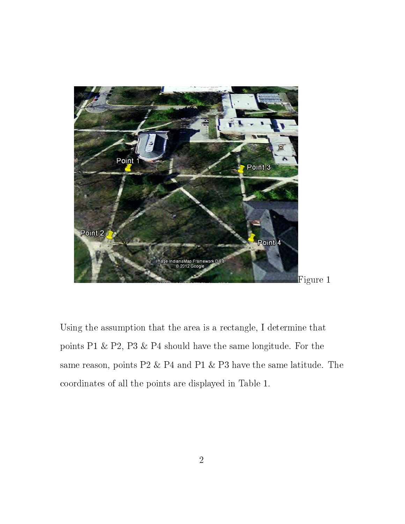

Using the assumption that the area is a rectangle, I determine that points P1 & P2, P3 & P4 should have the same longitude. For the same reason, points P2 & P4 and P1 & P3 have the same latitude. The coordinates of all the points are displayed in Table 1.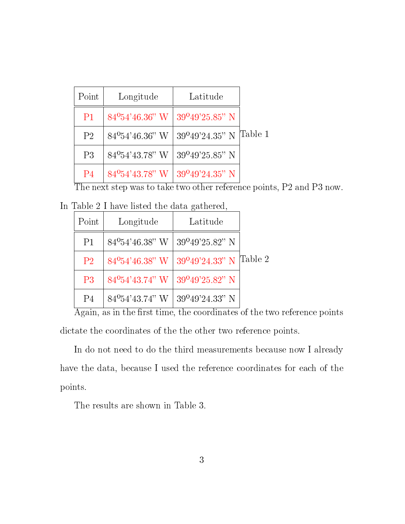| Point          | Longitude                                                 | Latitude                                   |  |
|----------------|-----------------------------------------------------------|--------------------------------------------|--|
| P <sub>1</sub> | $84^{\text{O}}54'46.36''$ W   $39^{\text{O}}49'25.85''$ N |                                            |  |
| P <sub>2</sub> | $84^{\circ}54'46.36''$ W                                  | $39^{\circ}49^{\prime}24.35$ " N [Table 1] |  |
| P <sub>3</sub> | $84^{\circ}54'43.78''$ W                                  | $39^{\circ}49^{\prime}25.85$ " N           |  |
| P <sub>4</sub> | $84^{\circ}54'43.78''$ W   $39^{\circ}49'24.35''$ N       |                                            |  |

The next step was to take two other reference points, P2 and P3 now.

In Table 2 I have listed the data gathered,

| Point          | Longitude                                           | Latitude                                                          |  |
|----------------|-----------------------------------------------------|-------------------------------------------------------------------|--|
| P <sub>1</sub> | $84^{\circ}54'46.38''$ W                            | $39^{\circ}49^{\prime}25.82"$ N                                   |  |
| P <sub>2</sub> |                                                     | 84 <sup>o</sup> 54'46.38" W   39 <sup>o</sup> 49'24.33" N Table 2 |  |
| P <sub>3</sub> | $84^{\circ}54'43.74''$ W   $39^{\circ}49'25.82''$ N |                                                                   |  |
| P4             | $84^{\circ}54'43.74"$ W                             | $39^{\circ}49^{\prime}24.33"$ N                                   |  |

 $\overline{\text{Again, as in the first time, the coordinates of the two reference points}}$ dictate the coordinates of the the other two reference points.

In do not need to do the third measurements because now I already have the data, because I used the reference coordinates for each of the points.

The results are shown in Table 3.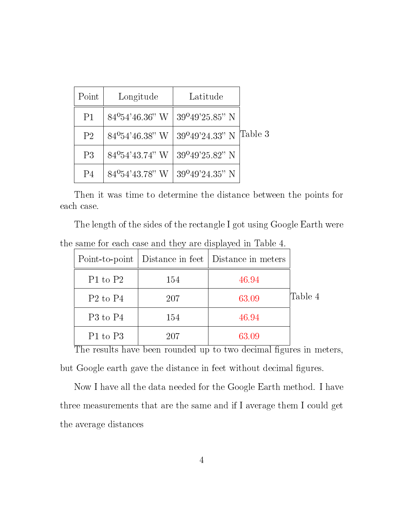| Point          | Longitude                                                         | Latitude                                                    |  |
|----------------|-------------------------------------------------------------------|-------------------------------------------------------------|--|
| P <sub>1</sub> | $84^{\text{O}}54'46.36''$ W   $39^{\text{O}}49'25.85''$ N         |                                                             |  |
| P <sub>2</sub> |                                                                   | $84^{\circ}54'46.38''$ W   $39^{\circ}49'24.33''$ N Table 3 |  |
| P <sub>3</sub> | $84^{\circ}54'43.74" \text{ W }   39^{\circ}49'25.82" \text{ N }$ |                                                             |  |
| P <sub>4</sub> | $84^{\circ}54'43.78''$ W   $39^{\circ}49'24.35''$ N               |                                                             |  |

Then it was time to determine the distance between the points for each case.

The length of the sides of the rectangle I got using Google Earth were

|                                  |     | Point-to-point   Distance in feet   Distance in meters |         |
|----------------------------------|-----|--------------------------------------------------------|---------|
| P1 to P2                         | 154 | 46.94                                                  |         |
| $P2$ to $P4$                     | 207 | 63.09                                                  | Table 4 |
| P <sub>3</sub> to P <sub>4</sub> | 154 | 46.94                                                  |         |
| P1 to P3                         | 207 | 63.09                                                  |         |

the same for each case and they are displayed in Table 4.

The results have been rounded up to two decimal figures in meters, but Google earth gave the distance in feet without decimal figures.

Now I have all the data needed for the Google Earth method. I have three measurements that are the same and if I average them I could get the average distances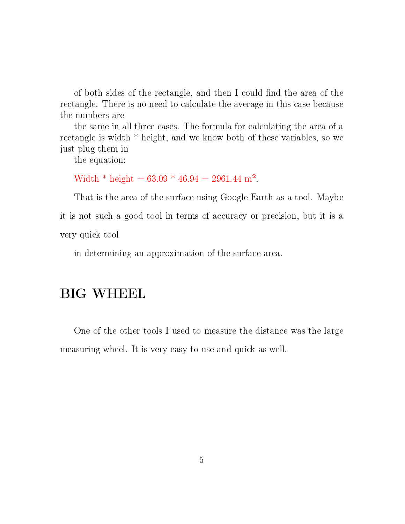of both sides of the rectangle, and then I could find the area of the rectangle. There is no need to calculate the average in this case because the numbers are

the same in all three cases. The formula for calculating the area of a rectangle is width \* height, and we know both of these variables, so we just plug them in

the equation:

Width \* height =  $63.09 * 46.94 = 2961.44 \text{ m}^2$ .

That is the area of the surface using Google Earth as a tool. Maybe it is not such a good tool in terms of accuracy or precision, but it is a very quick tool

in determining an approximation of the surface area.

#### BIG WHEEL

One of the other tools I used to measure the distance was the large measuring wheel. It is very easy to use and quick as well.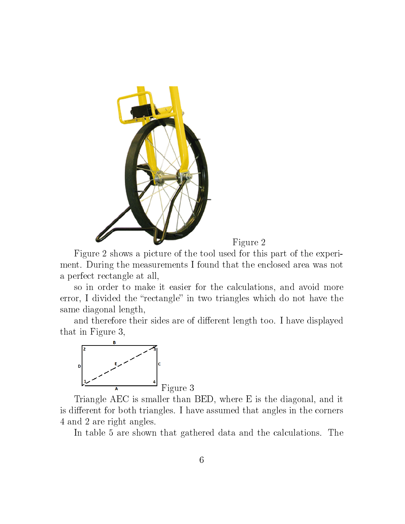

Figure 2

Figure 2 shows a picture of the tool used for this part of the experiment. During the measurements I found that the enclosed area was not a perfect rectangle at all,

so in order to make it easier for the calculations, and avoid more error, I divided the "rectangle" in two triangles which do not have the same diagonal length,

and therefore their sides are of different length too. I have displayed that in Figure 3,



Triangle AEC is smaller than BED, where E is the diagonal, and it is different for both triangles. I have assumed that angles in the corners 4 and 2 are right angles.

In table 5 are shown that gathered data and the calculations. The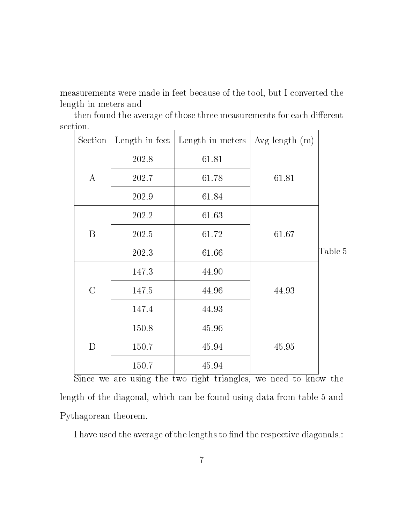measurements were made in feet because of the tool, but I converted the length in meters and

then found the average of those three measurements for each different section.

| Section        | Length in feet | Length in meters | Avg length $(m)$ |         |
|----------------|----------------|------------------|------------------|---------|
|                | 202.8          | 61.81            |                  |         |
| $\bf{A}$       | 202.7          | 61.78            | 61.81            |         |
|                | 202.9          | 61.84            |                  |         |
|                | 202.2          | 61.63            |                  |         |
| B              | 202.5          | 61.72            | 61.67            |         |
|                | 202.3          | 61.66            |                  | Table 5 |
|                | 147.3          | 44.90            |                  |         |
| $\overline{C}$ | 147.5          | 44.96            | 44.93            |         |
|                | 147.4          | 44.93            |                  |         |
|                | 150.8          | 45.96            |                  |         |
| $\mathbf D$    | 150.7          | 45.94            | 45.95            |         |
|                | 150.7          | 45.94            |                  |         |

Since we are using the two right triangles, we need to know the length of the diagonal, which can be found using data from table 5 and Pythagorean theorem.

I have used the average of the lengths to find the respective diagonals.: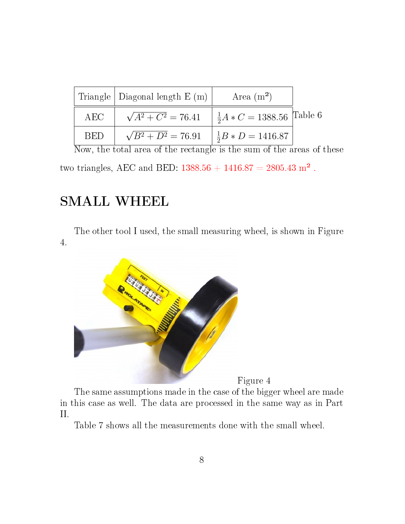| Triangle   Diagonal length E (m) $\vert$ | Area $(m^2)$                       |  |
|------------------------------------------|------------------------------------|--|
| $\sqrt{A^2 + C^2} = 76.41$               | $\frac{1}{2}A*C = 1388.56$ Table 6 |  |
| $\sqrt{B^2 + D^2} = 76.91$               | $\frac{1}{2}B*D=1416.87$           |  |

Now, the total area of the rectangle is the sum of the areas of these

two triangles, AEC and BED:  $1388.56 + 1416.87 = 2805.43 \text{ m}^2$ .

# SMALL WHEEL

The other tool I used, the small measuring wheel, is shown in Figure 4.



The same assumptions made in the case of the bigger wheel are made in this case as well. The data are processed in the same way as in Part II.

Table 7 shows all the measurements done with the small wheel.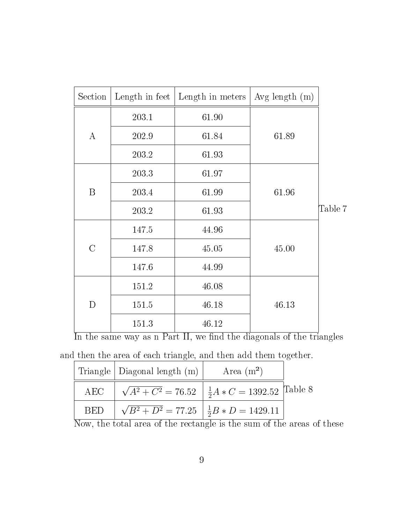| Section        | Length in feet | Length in meters | Avg length $(m)$ |         |
|----------------|----------------|------------------|------------------|---------|
|                | 203.1          | 61.90            |                  |         |
| $\bf{A}$       | 202.9          | 61.84            | 61.89            |         |
|                | 203.2          | 61.93            |                  |         |
|                | 203.3          | 61.97            |                  |         |
| $\mathbf{B}$   | 203.4          | 61.99            | 61.96            |         |
|                | 203.2          | 61.93            |                  | Table 7 |
|                | 147.5          | 44.96            |                  |         |
| $\overline{C}$ | 147.8          | 45.05            | 45.00            |         |
|                | 147.6          | 44.99            |                  |         |
|                | 151.2          | 46.08            |                  |         |
| D              | 151.5          | 46.18            | 46.13            |         |
|                | 151.3          | 46.12            |                  |         |

In the same way as n Part II, we find the diagonals of the triangles

|  |  |  |  |  | and then the area of each triangle, and then add them together. |
|--|--|--|--|--|-----------------------------------------------------------------|
|  |  |  |  |  |                                                                 |

|            | $\frac{1}{2}$                                                                   |              |  |
|------------|---------------------------------------------------------------------------------|--------------|--|
|            | Triangle   Diagonal length $(m)$                                                | Area $(m^2)$ |  |
| AEC        | $\sqrt{A^2 + C^2} = 76.52 \left  \frac{1}{2}A \ast C \right  = 1392.52$ Table 8 |              |  |
| <b>BED</b> | $\sqrt{B^2 + D^2} = 77.25 \left  \frac{1}{2}B \ast D \right  = 1429.11$         |              |  |

Now, the total area of the rectangle is the sum of the areas of these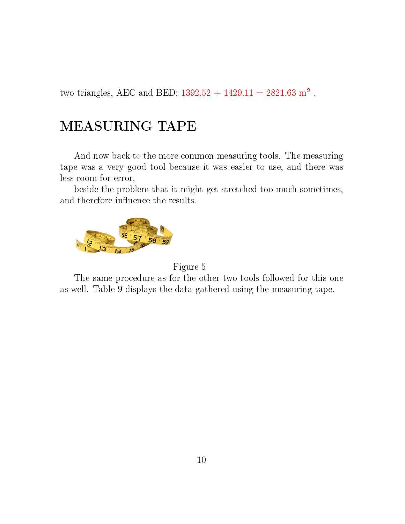two triangles, AEC and BED:  $1392.52 + 1429.11 = 2821.63$  m<sup>2</sup>.

## MEASURING TAPE

And now back to the more common measuring tools. The measuring tape was a very good tool because it was easier to use, and there was less room for error,

beside the problem that it might get stretched too much sometimes, and therefore influence the results.



Figure 5

The same procedure as for the other two tools followed for this one as well. Table 9 displays the data gathered using the measuring tape.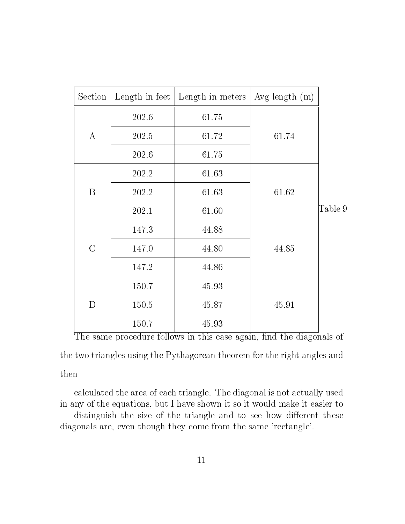| Section        | Length in feet | Length in meters | Avg length $(m)$ |         |
|----------------|----------------|------------------|------------------|---------|
|                | 202.6          | 61.75            |                  |         |
| $\bf{A}$       | 202.5          | 61.72            | 61.74            |         |
|                | 202.6          | 61.75            |                  |         |
|                | 202.2          | 61.63            |                  |         |
| $\mathbf{B}$   | 202.2          | 61.63            | 61.62            |         |
|                | 202.1          | 61.60            |                  | Table 9 |
|                | 147.3          | 44.88            |                  |         |
| $\overline{C}$ | 147.0          | 44.80            | 44.85            |         |
|                | 147.2          | 44.86            |                  |         |
|                | 150.7          | 45.93            |                  |         |
| D              | 150.5          | 45.87            | 45.91            |         |
|                | 150.7          | 45.93            |                  |         |

The same procedure follows in this case again, find the diagonals of the two triangles using the Pythagorean theorem for the right angles and then

calculated the area of each triangle. The diagonal is not actually used in any of the equations, but I have shown it so it would make it easier to

distinguish the size of the triangle and to see how different these diagonals are, even though they come from the same 'rectangle'.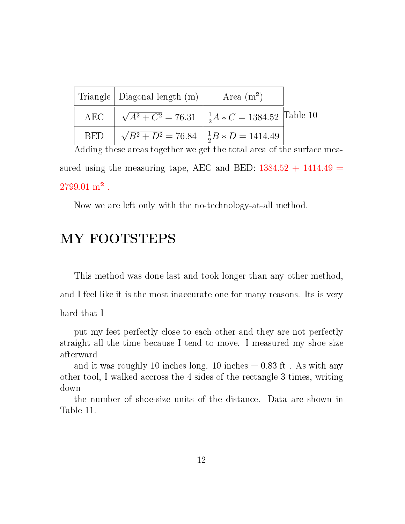|     | Triangle   Diagonal length $(m)$                                                  | Area $(m^2)$ |  |
|-----|-----------------------------------------------------------------------------------|--------------|--|
|     | AEC $\sqrt{A^2 + C^2} = 76.31 \left  \frac{1}{2}A * C \right  = 1384.52$ Table 10 |              |  |
| BED | $\sqrt{B^2 + D^2} = 76.84 \left( \frac{1}{2} B * D \right) = 1414.49$             |              |  |

Adding these areas together we get the total area of the surface measured using the measuring tape, AEC and BED:  $1384.52 + 1414.49 =$  $2799.01 \text{ m}^2$ .

Now we are left only with the no-technology-at-all method.

# MY FOOTSTEPS

This method was done last and took longer than any other method, and I feel like it is the most inaccurate one for many reasons. Its is very hard that I

put my feet perfectly close to each other and they are not perfectly straight all the time because I tend to move. I measured my shoe size afterward

and it was roughly 10 inches long. 10 inches  $= 0.83$  ft. As with any other tool, I walked accross the 4 sides of the rectangle 3 times, writing down

the number of shoe-size units of the distance. Data are shown in Table 11.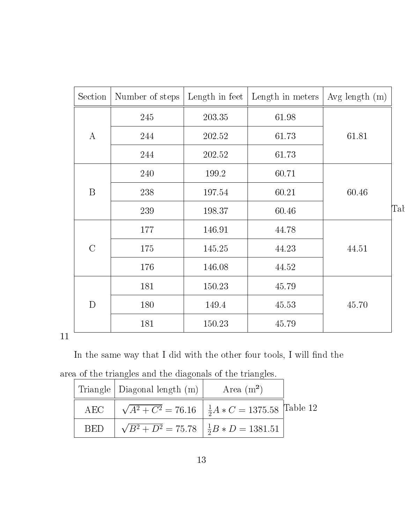| Section        | Number of steps | Length in feet | Length in meters | Avg length $(m)$ |             |
|----------------|-----------------|----------------|------------------|------------------|-------------|
|                | 245             | 203.35         | 61.98            |                  |             |
| $\bf{A}$       | 244             | 202.52         | 61.73            | 61.81            |             |
|                | 244             | 202.52         | 61.73            |                  |             |
|                | 240             | 199.2          | 60.71            |                  |             |
| $\mathbf B$    | 238             | 197.54         | 60.21            | 60.46            |             |
|                | 239             | 198.37         | 60.46            |                  | ${\rm Tal}$ |
|                | 177             | 146.91         | 44.78            |                  |             |
| $\overline{C}$ | 175             | 145.25         | 44.23            | 44.51            |             |
|                | 176             | 146.08         | 44.52            |                  |             |
|                | 181             | 150.23         | 45.79            |                  |             |
| D              | 180             | 149.4          | 45.53            | 45.70            |             |
|                | 181             | 150.23         | 45.79            |                  |             |

11

In the same way that I did with the other four tools, I will find the

|            | Triangle   Diagonal length $(m)$   Area $(m^2)$                                       |  |  |  |  |  |
|------------|---------------------------------------------------------------------------------------|--|--|--|--|--|
|            | AEC $\sqrt{A^2 + C^2} = 76.16 \left( \frac{1}{2}A \cdot C \right) = 1375.58$ Table 12 |  |  |  |  |  |
| <b>BED</b> | $\sqrt{B^2 + D^2} = 75.78 \left  \frac{1}{2}B \ast D \right  = 1381.51$               |  |  |  |  |  |

area of the triangles and the diagonals of the triangles.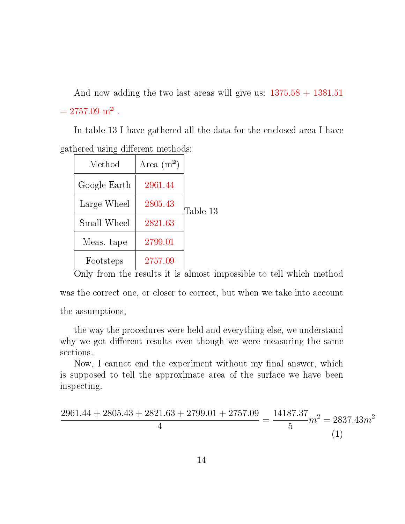And now adding the two last areas will give us:  $1375.58 + 1381.51$  $=2757.09~\mathrm{m^2}$  .

In table 13 I have gathered all the data for the enclosed area I have gathered using different methods:

| Method       | Area $(m^2)$ | Table 13 |
|--------------|--------------|----------|
| Google Earth | 2961.44      |          |
| Large Wheel  | 2805.43      |          |
| Small Wheel  | 2821.63      |          |
| Meas. tape   | 2799.01      |          |
| Footsteps    | 2757.09      |          |

Only from the results it is almost impossible to tell which method was the correct one, or closer to correct, but when we take into account the assumptions,

the way the procedures were held and everything else, we understand why we got different results even though we were measuring the same sections.

Now, I cannot end the experiment without my final answer, which is supposed to tell the approximate area of the surface we have been inspecting.

$$
\frac{2961.44 + 2805.43 + 2821.63 + 2799.01 + 2757.09}{4} = \frac{14187.37}{5}m^2 = 2837.43m^2
$$
\n(1)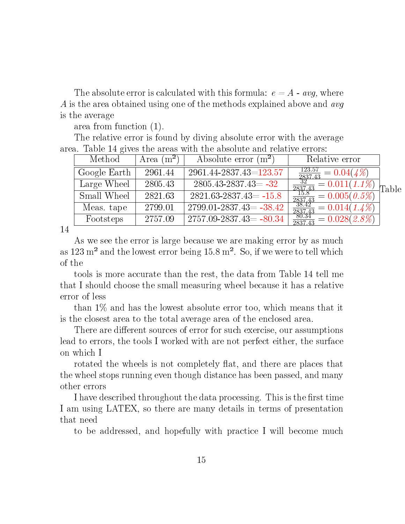The absolute error is calculated with this formula:  $e = A - avg$ , where A is the area obtained using one of the methods explained above and avg is the average

area from function (1).

The relative error is found by diving absolute error with the average

| area. Table 14 gives the areas with the absolute and relative errors: |                  |              |                              |                                                                                                                                                                                                                                                                                |       |  |  |  |
|-----------------------------------------------------------------------|------------------|--------------|------------------------------|--------------------------------------------------------------------------------------------------------------------------------------------------------------------------------------------------------------------------------------------------------------------------------|-------|--|--|--|
|                                                                       | Method           | Area $(m^2)$ | Absolute error $(m^2)$       | Relative error                                                                                                                                                                                                                                                                 |       |  |  |  |
|                                                                       | Google Earth $ $ | 2961.44      | $2961.44 - 2837.43 = 123.57$ | $\begin{array}{ l l } \hline \frac{123.57}{2837.43} = 0.04(4\%) \\ \hline \frac{32}{2837.43} = 0.011(1.1\%) \\ \hline \frac{15.8}{2837.43} = 0.005(0.5\%) \\ \hline \frac{38.42}{2837.43} = 0.014(1.4\%) \\ \hline \frac{80.34}{2837.43} = 0.028(2.8\%) \\ \hline \end{array}$ |       |  |  |  |
|                                                                       | Large Wheel      | 2805.43      | $2805.43 - 2837.43 = -32$    |                                                                                                                                                                                                                                                                                | Table |  |  |  |
|                                                                       | Small Wheel      | 2821.63      | $2821.63 - 2837.43 = -15.8$  |                                                                                                                                                                                                                                                                                |       |  |  |  |
|                                                                       | Meas. tape       | 2799.01      | $2799.01 - 2837.43 = -38.42$ |                                                                                                                                                                                                                                                                                |       |  |  |  |
|                                                                       | Footsteps        | 2757.09      | $2757.09 - 2837.43 = -80.34$ |                                                                                                                                                                                                                                                                                |       |  |  |  |

14

As we see the error is large because we are making error by as much as  $123 \text{ m}^2$  and the lowest error being  $15.8 \text{ m}^2$ . So, if we were to tell which of the

tools is more accurate than the rest, the data from Table 14 tell me that I should choose the small measuring wheel because it has a relative error of less

than 1% and has the lowest absolute error too, which means that it is the closest area to the total average area of the enclosed area.

There are different sources of error for such exercise, our assumptions lead to errors, the tools I worked with are not perfect either, the surface on which I

rotated the wheels is not completely flat, and there are places that the wheel stops running even though distance has been passed, and many other errors

I have described throughout the data processing. This is the first time I am using LATEX, so there are many details in terms of presentation that need

to be addressed, and hopefully with practice I will become much